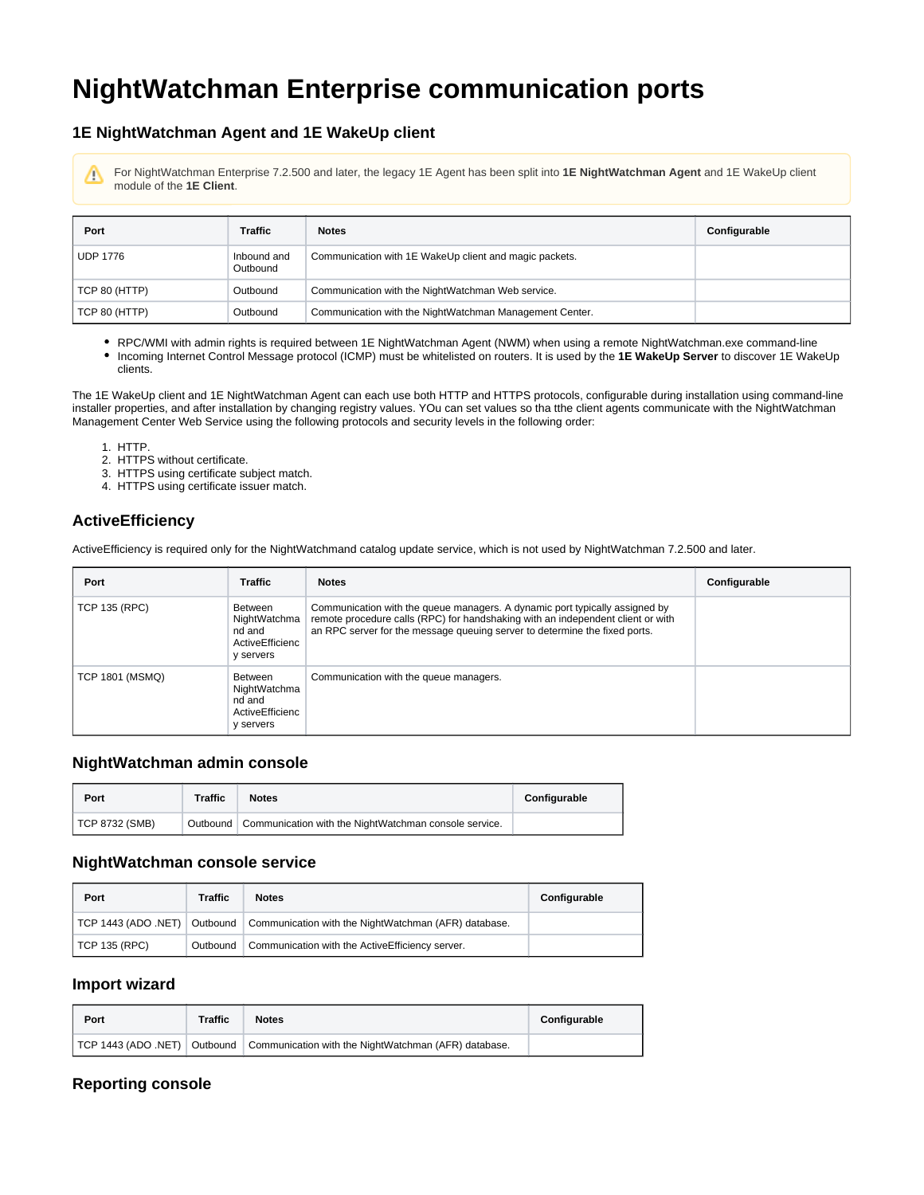# **NightWatchman Enterprise communication ports**

## **1E NightWatchman Agent and 1E WakeUp client**

For NightWatchman Enterprise 7.2.500 and later, the legacy 1E Agent has been split into **1E NightWatchman Agent** and 1E WakeUp client Δ module of the **1E Client**.

| Port            | <b>Traffic</b>          | <b>Notes</b>                                            | Configurable |
|-----------------|-------------------------|---------------------------------------------------------|--------------|
| <b>UDP 1776</b> | Inbound and<br>Outbound | Communication with 1E WakeUp client and magic packets.  |              |
| TCP 80 (HTTP)   | Outbound                | Communication with the NightWatchman Web service.       |              |
| TCP 80 (HTTP)   | Outbound                | Communication with the NightWatchman Management Center. |              |

- RPC/WMI with admin rights is required between 1E NightWatchman Agent (NWM) when using a remote NightWatchman.exe command-line
- Incoming Internet Control Message protocol (ICMP) must be whitelisted on routers. It is used by the **1E WakeUp Server** to discover 1E WakeUp clients.

The 1E WakeUp client and 1E NightWatchman Agent can each use both HTTP and HTTPS protocols, configurable during installation using command-line installer properties, and after installation by changing registry values. YOu can set values so tha tthe client agents communicate with the NightWatchman Management Center Web Service using the following protocols and security levels in the following order:

1. HTTP.

- 2. HTTPS without certificate.
- 3. HTTPS using certificate subject match.
- 4. HTTPS using certificate issuer match.

## **ActiveEfficiency**

ActiveEfficiency is required only for the NightWatchmand catalog update service, which is not used by NightWatchman 7.2.500 and later.

| Port                   | <b>Traffic</b>                                                           | <b>Notes</b>                                                                                                                                                                                                                                 | Configurable |
|------------------------|--------------------------------------------------------------------------|----------------------------------------------------------------------------------------------------------------------------------------------------------------------------------------------------------------------------------------------|--------------|
| <b>TCP 135 (RPC)</b>   | <b>Between</b><br>NightWatchma<br>nd and<br>ActiveEfficienc<br>y servers | Communication with the queue managers. A dynamic port typically assigned by<br>remote procedure calls (RPC) for handshaking with an independent client or with<br>an RPC server for the message queuing server to determine the fixed ports. |              |
| <b>TCP 1801 (MSMQ)</b> | <b>Between</b><br>NightWatchma<br>nd and<br>ActiveEfficienc<br>y servers | Communication with the queue managers.                                                                                                                                                                                                       |              |

#### **NightWatchman admin console**

| Port           | <b>Traffic</b> | <b>Notes</b>                                                     | Configurable |
|----------------|----------------|------------------------------------------------------------------|--------------|
| TCP 8732 (SMB) |                | Outbound   Communication with the NightWatchman console service. |              |

#### **NightWatchman console service**

| Port                  | Traffic  | <b>Notes</b>                                                                          | Configurable |
|-----------------------|----------|---------------------------------------------------------------------------------------|--------------|
|                       |          | TCP 1443 (ADO .NET)   Outbound   Communication with the NightWatchman (AFR) database. |              |
| $\vert$ TCP 135 (RPC) | Outbound | Communication with the ActiveEfficiency server.                                       |              |

#### **Import wizard**

| Port | Traffic | <b>Notes</b>                                                                          | Configurable |
|------|---------|---------------------------------------------------------------------------------------|--------------|
|      |         | TCP 1443 (ADO .NET)   Outbound   Communication with the NightWatchman (AFR) database. |              |

#### **Reporting console**